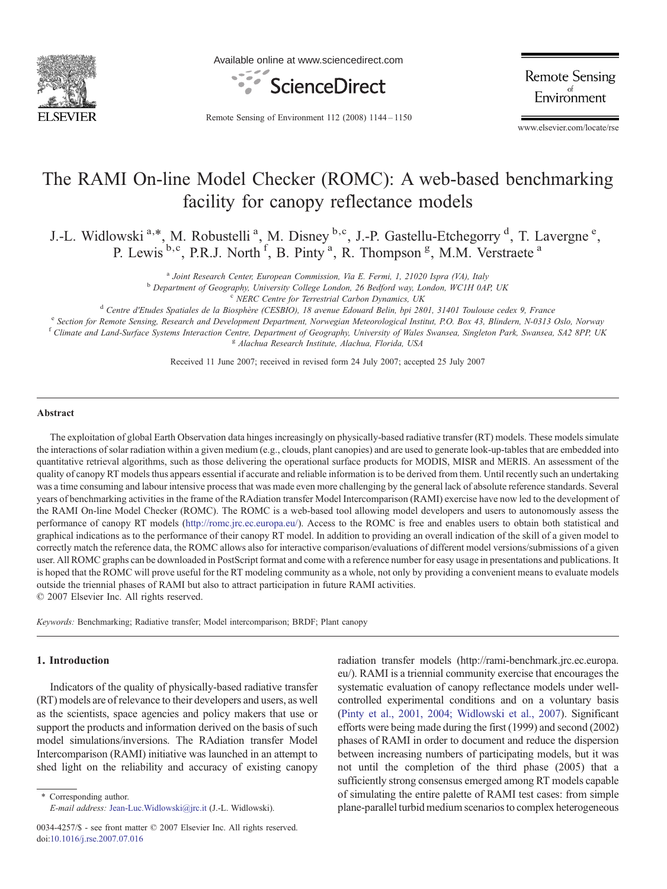

Available online at www.sciencedirect.com



**Remote Sensing** Environment

Remote Sensing of Environment 112 (2008) 1144–1150

www.elsevier.com/locate/rse

# The RAMI On-line Model Checker (ROMC): A web-based benchmarking facility for canopy reflectance models

J.-L. Widlowski<sup>a,\*</sup>, M. Robustelli<sup>a</sup>, M. Disney<sup>b,c</sup>, J.-P. Gastellu-Etchegorry<sup>d</sup>, T. Lavergne<sup>e</sup>, P. Lewis <sup>b,c</sup>, P.R.J. North <sup>f</sup>, B. Pinty <sup>a</sup>, R. Thompson <sup>g</sup>, M.M. Verstraete <sup>a</sup>

<sup>a</sup> Joint Research Center, European Commission, Via E. Fermi, 1, 21020 Ispra (VA), Italy b Department of Geography, University College London, 26 Bedford way, London, WC1H 0AP, UK

<sup>e</sup> NERC Centre for Terrestrial Carbon Dynamics, UK<br><sup>d</sup> Centre d'Etudes Spatiales de la Biosphère (CESBIO), 18 avenue Edouard Belin, bpi 2801, 31401 Toulouse cedex 9, France<br><sup>e</sup> Section for Remote Sensing, Research and Dev

<sup>g</sup> Alachua Research Institute, Alachua, Florida, USA

Received 11 June 2007; received in revised form 24 July 2007; accepted 25 July 2007

#### Abstract

The exploitation of global Earth Observation data hinges increasingly on physically-based radiative transfer (RT) models. These models simulate the interactions of solar radiation within a given medium (e.g., clouds, plant canopies) and are used to generate look-up-tables that are embedded into quantitative retrieval algorithms, such as those delivering the operational surface products for MODIS, MISR and MERIS. An assessment of the quality of canopy RT models thus appears essential if accurate and reliable information is to be derived from them. Until recently such an undertaking was a time consuming and labour intensive process that was made even more challenging by the general lack of absolute reference standards. Several years of benchmarking activities in the frame of the RAdiation transfer Model Intercomparison (RAMI) exercise have now led to the development of the RAMI On-line Model Checker (ROMC). The ROMC is a web-based tool allowing model developers and users to autonomously assess the performance of canopy RT models (<http://romc.jrc.ec.europa.eu/>). Access to the ROMC is free and enables users to obtain both statistical and graphical indications as to the performance of their canopy RT model. In addition to providing an overall indication of the skill of a given model to correctly match the reference data, the ROMC allows also for interactive comparison/evaluations of different model versions/submissions of a given user. All ROMC graphs can be downloaded in PostScript format and come with a reference number for easy usage in presentations and publications. It is hoped that the ROMC will prove useful for the RT modeling community as a whole, not only by providing a convenient means to evaluate models outside the triennial phases of RAMI but also to attract participation in future RAMI activities. © 2007 Elsevier Inc. All rights reserved.

Keywords: Benchmarking; Radiative transfer; Model intercomparison; BRDF; Plant canopy

## 1. Introduction

Indicators of the quality of physically-based radiative transfer (RT) models are of relevance to their developers and users, as well as the scientists, space agencies and policy makers that use or support the products and information derived on the basis of such model simulations/inversions. The RAdiation transfer Model Intercomparison (RAMI) initiative was launched in an attempt to shed light on the reliability and accuracy of existing canopy

⁎ Corresponding author. E-mail address: [Jean-Luc.Widlowski@jrc.it](mailto:Jean-Luc.Widlowski@jrc.it) (J.-L. Widlowski). radiation transfer models (http://rami-benchmark.jrc.ec.europa. eu/). RAMI is a triennial community exercise that encourages the systematic evaluation of canopy reflectance models under wellcontrolled experimental conditions and on a voluntary basis ([Pinty et al., 2001, 2004; Widlowski et al., 2007\)](#page-6-0). Significant efforts were being made during the first (1999) and second (2002) phases of RAMI in order to document and reduce the dispersion between increasing numbers of participating models, but it was not until the completion of the third phase (2005) that a sufficiently strong consensus emerged among RT models capable of simulating the entire palette of RAMI test cases: from simple plane-parallel turbid medium scenarios to complex heterogeneous

<sup>0034-4257/\$ -</sup> see front matter © 2007 Elsevier Inc. All rights reserved. doi:[10.1016/j.rse.2007.07.016](http://dx.doi.org/10.1016/j.rse.2007.07.016)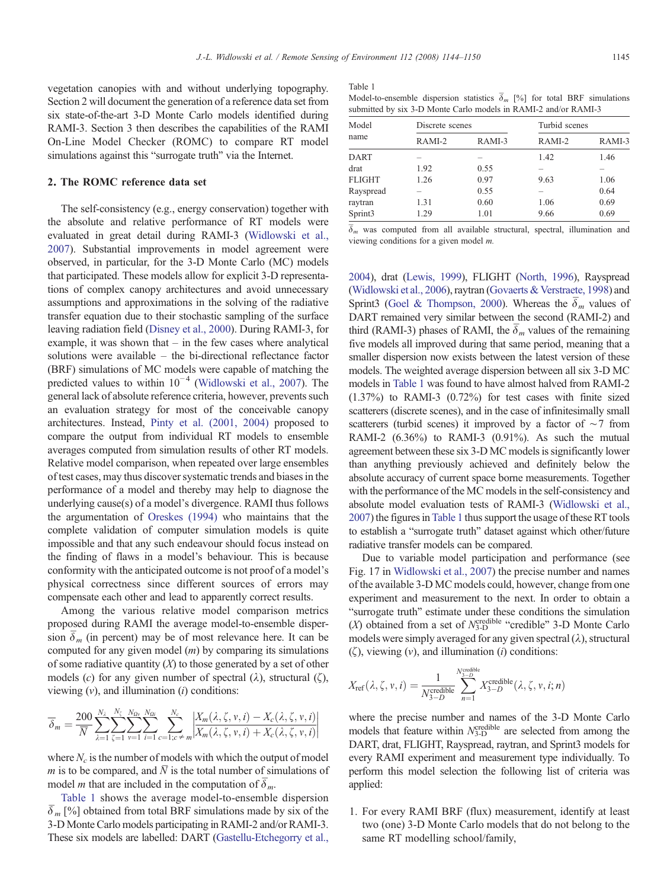vegetation canopies with and without underlying topography. Section 2 will document the generation of a reference data set from six state-of-the-art 3-D Monte Carlo models identified during RAMI-3. Section 3 then describes the capabilities of the RAMI On-Line Model Checker (ROMC) to compare RT model simulations against this "surrogate truth" via the Internet.

## 2. The ROMC reference data set

The self-consistency (e.g., energy conservation) together with the absolute and relative performance of RT models were evaluated in great detail during RAMI-3 ([Widlowski et al.,](#page-6-0) [2007](#page-6-0)). Substantial improvements in model agreement were observed, in particular, for the 3-D Monte Carlo (MC) models that participated. These models allow for explicit 3-D representations of complex canopy architectures and avoid unnecessary assumptions and approximations in the solving of the radiative transfer equation due to their stochastic sampling of the surface leaving radiation field [\(Disney et al., 2000](#page-6-0)). During RAMI-3, for example, it was shown that  $-$  in the few cases where analytical solutions were available – the bi-directional reflectance factor (BRF) simulations of MC models were capable of matching the predicted values to within  $10^{-4}$  [\(Widlowski et al., 2007](#page-6-0)). The general lack of absolute reference criteria, however, prevents such an evaluation strategy for most of the conceivable canopy architectures. Instead, [Pinty et al. \(2001, 2004\)](#page-6-0) proposed to compare the output from individual RT models to ensemble averages computed from simulation results of other RT models. Relative model comparison, when repeated over large ensembles of test cases, may thus discover systematic trends and biases in the performance of a model and thereby may help to diagnose the underlying cause(s) of a model's divergence. RAMI thus follows the argumentation of [Oreskes \(1994\)](#page-6-0) who maintains that the complete validation of computer simulation models is quite impossible and that any such endeavour should focus instead on the finding of flaws in a model's behaviour. This is because conformity with the anticipated outcome is not proof of a model's physical correctness since different sources of errors may compensate each other and lead to apparently correct results.

Among the various relative model comparison metrics proposed during RAMI the average model-to-ensemble dispersion  $\overline{\delta}_m$  (in percent) may be of most relevance here. It can be computed for any given model  $(m)$  by comparing its simulations of some radiative quantity  $(X)$  to those generated by a set of other models (c) for any given number of spectral ( $\lambda$ ), structural ( $\zeta$ ), viewing  $(v)$ , and illumination  $(i)$  conditions:

$$
\overline{\delta}_m = \frac{200}{\overline{N}} \sum_{\lambda=1}^{N_{\lambda}} \sum_{\zeta=1}^{N_{\zeta}} \sum_{\nu=1}^{N_{Q\nu}} \sum_{i=1}^{N_{Q\nu}} \sum_{c=1;c \neq m}^{N_c} \left| \frac{X_m(\lambda,\zeta,\nu,i) - X_c(\lambda,\zeta,\nu,i)}{X_m(\lambda,\zeta,\nu,i) + X_c(\lambda,\zeta,\nu,i)} \right|
$$

where  $N_c$  is the number of models with which the output of model m is to be compared, and  $\overline{N}$  is the total number of simulations of model *m* that are included in the computation of  $\overline{\delta}_m$ .

Table 1 shows the average model-to-ensemble dispersion  $\overline{\delta}_m$  [%] obtained from total BRF simulations made by six of the 3-D Monte Carlo models participating in RAMI-2 and/or RAMI-3. These six models are labelled: DART [\(Gastellu-Etchegorry et al.,](#page-6-0)

| ×<br>u.<br>۰,<br>٠<br>× |  |
|-------------------------|--|
|-------------------------|--|

| Model-to-ensemble dispersion statistics $\delta_m$ [%] for total BRF simulations |  |  |  |  |
|----------------------------------------------------------------------------------|--|--|--|--|
| submitted by six 3-D Monte Carlo models in RAMI-2 and/or RAMI-3                  |  |  |  |  |

| Model         | Discrete scenes  |      | Turbid scenes |        |  |  |
|---------------|------------------|------|---------------|--------|--|--|
| name          | RAMI-2<br>RAMI-3 |      | RAMI-2        | RAMI-3 |  |  |
| DART          |                  |      | 1.42          | 1.46   |  |  |
| drat          | 1.92             | 0.55 |               | -      |  |  |
| <b>FLIGHT</b> | 1.26             | 0.97 | 9.63          | 1.06   |  |  |
| Rayspread     |                  | 0.55 |               | 0.64   |  |  |
| raytran       | 1.31             | 0.60 | 1.06          | 0.69   |  |  |
| Sprint3       | 1.29             | 1.01 | 9.66          | 0.69   |  |  |

 $\overline{\delta}_m$  was computed from all available structural, spectral, illumination and viewing conditions for a given model m.

[2004\)](#page-6-0), drat [\(Lewis, 1999](#page-6-0)), FLIGHT [\(North, 1996](#page-6-0)), Rayspread ([Widlowski et al., 2006\)](#page-6-0), raytran [\(Govaerts & Verstraete, 1998\)](#page-6-0) and Sprint3 ([Goel & Thompson, 2000](#page-6-0)). Whereas the  $\overline{\delta}_m$  values of DART remained very similar between the second (RAMI-2) and third (RAMI-3) phases of RAMI, the  $\overline{\delta}_m$  values of the remaining five models all improved during that same period, meaning that a smaller dispersion now exists between the latest version of these models. The weighted average dispersion between all six 3-D MC models in Table 1 was found to have almost halved from RAMI-2 (1.37%) to RAMI-3 (0.72%) for test cases with finite sized scatterers (discrete scenes), and in the case of infinitesimally small scatterers (turbid scenes) it improved by a factor of ∼7 from RAMI-2 (6.36%) to RAMI-3 (0.91%). As such the mutual agreement between these six 3-D MC models is significantly lower than anything previously achieved and definitely below the absolute accuracy of current space borne measurements. Together with the performance of the MC models in the self-consistency and absolute model evaluation tests of RAMI-3 ([Widlowski et al.,](#page-6-0) [2007\)](#page-6-0) the figures in Table 1 thus support the usage of these RT tools to establish a "surrogate truth" dataset against which other/future radiative transfer models can be compared.

Due to variable model participation and performance (see Fig. 17 in [Widlowski et al., 2007](#page-6-0)) the precise number and names of the available 3-D MC models could, however, change from one experiment and measurement to the next. In order to obtain a "surrogate truth" estimate under these conditions the simulation (X) obtained from a set of  $N_{3-D}^{\text{credible}}$  "credible" 3-D Monte Carlo models were simply averaged for any given spectral  $(\lambda)$ , structural  $(\zeta)$ , viewing  $(v)$ , and illumination  $(i)$  conditions:

$$
X_{\text{ref}}(\lambda, \zeta, \nu, i) = \frac{1}{N_{3-D}^{\text{credible}}}\sum_{n=1}^{N_{3-D}^{\text{credible}}} X_{3-D}^{\text{credible}}(\lambda, \zeta, \nu, i; n)
$$

where the precise number and names of the 3-D Monte Carlo models that feature within  $N_{3-D}^{\text{credible}}$  are selected from among the DART, drat, FLIGHT, Rayspread, raytran, and Sprint3 models for every RAMI experiment and measurement type individually. To perform this model selection the following list of criteria was applied:

1. For every RAMI BRF (flux) measurement, identify at least two (one) 3-D Monte Carlo models that do not belong to the same RT modelling school/family,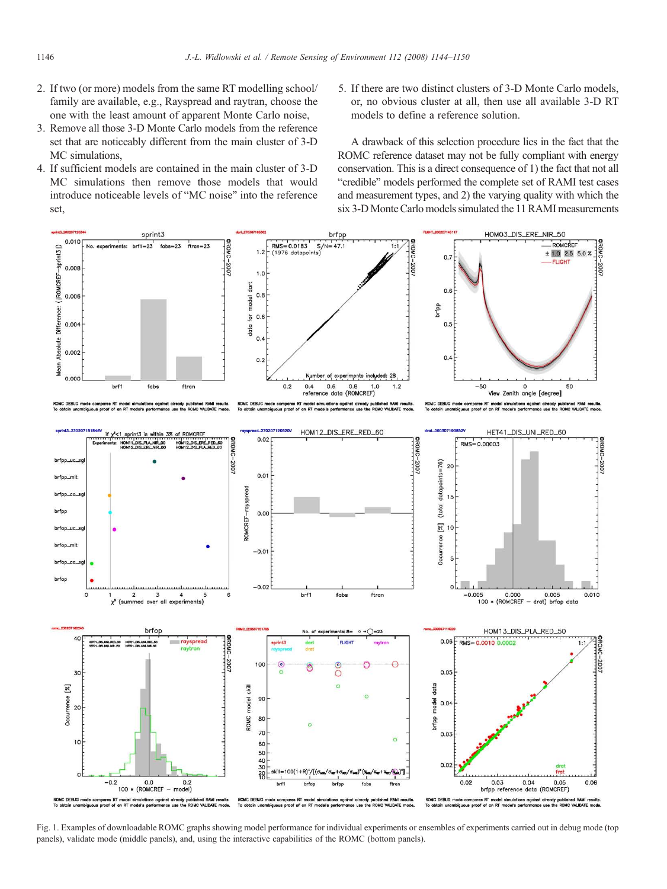- <span id="page-2-0"></span>2. If two (or more) models from the same RT modelling school/ family are available, e.g., Rayspread and raytran, choose the one with the least amount of apparent Monte Carlo noise,
- 3. Remove all those 3-D Monte Carlo models from the reference set that are noticeably different from the main cluster of 3-D MC simulations,
- 4. If sufficient models are contained in the main cluster of 3-D MC simulations then remove those models that would introduce noticeable levels of "MC noise" into the reference set,
- 5. If there are two distinct clusters of 3-D Monte Carlo models, or, no obvious cluster at all, then use all available 3-D RT models to define a reference solution.

A drawback of this selection procedure lies in the fact that the ROMC reference dataset may not be fully compliant with energy conservation. This is a direct consequence of 1) the fact that not all "credible" models performed the complete set of RAMI test cases and measurement types, and 2) the varying quality with which the six 3-D Monte Carlo models simulated the 11 RAMI measurements



Fig. 1. Examples of downloadable ROMC graphs showing model performance for individual experiments or ensembles of experiments carried out in debug mode (top panels), validate mode (middle panels), and, using the interactive capabilities of the ROMC (bottom panels).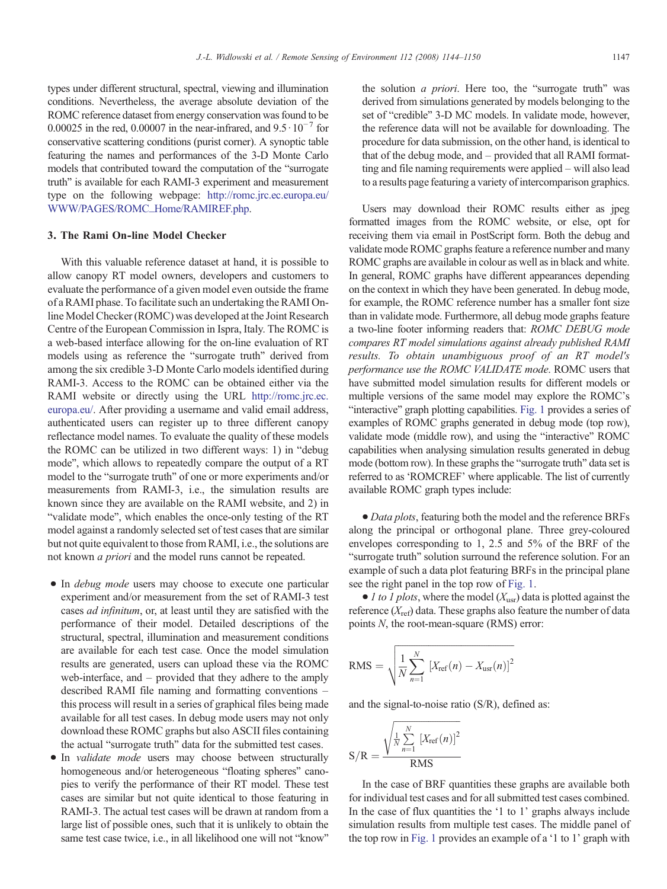types under different structural, spectral, viewing and illumination conditions. Nevertheless, the average absolute deviation of the ROMC reference dataset from energy conservation was found to be 0.00025 in the red, 0.00007 in the near-infrared, and  $9.5 \cdot 10^{-7}$  for conservative scattering conditions (purist corner). A synoptic table featuring the names and performances of the 3-D Monte Carlo models that contributed toward the computation of the "surrogate truth" is available for each RAMI-3 experiment and measurement type on the following webpage: [http://romc.jrc.ec.europa.eu/](http://romc.jrc.ec.europa.eu/WWW/PAGES/ROMC_Home/RAMIREF.php) [WWW/PAGES/ROMC\\_Home/RAMIREF.php](http://romc.jrc.ec.europa.eu/WWW/PAGES/ROMC_Home/RAMIREF.php).

#### 3. The Rami On-line Model Checker

With this valuable reference dataset at hand, it is possible to allow canopy RT model owners, developers and customers to evaluate the performance of a given model even outside the frame of a RAMI phase. To facilitate such an undertaking the RAMI Online Model Checker (ROMC) was developed at the Joint Research Centre of the European Commission in Ispra, Italy. The ROMC is a web-based interface allowing for the on-line evaluation of RT models using as reference the "surrogate truth" derived from among the six credible 3-D Monte Carlo models identified during RAMI-3. Access to the ROMC can be obtained either via the RAMI website or directly using the URL [http://romc.jrc.ec.](http://romc.jrc.ec.europa.eu/) [europa.eu/](http://romc.jrc.ec.europa.eu/). After providing a username and valid email address, authenticated users can register up to three different canopy reflectance model names. To evaluate the quality of these models the ROMC can be utilized in two different ways: 1) in "debug mode", which allows to repeatedly compare the output of a RT model to the "surrogate truth" of one or more experiments and/or measurements from RAMI-3, i.e., the simulation results are known since they are available on the RAMI website, and 2) in "validate mode", which enables the once-only testing of the RT model against a randomly selected set of test cases that are similar but not quite equivalent to those from RAMI, i.e., the solutions are not known a priori and the model runs cannot be repeated.

- In *debug mode* users may choose to execute one particular experiment and/or measurement from the set of RAMI-3 test cases ad infinitum, or, at least until they are satisfied with the performance of their model. Detailed descriptions of the structural, spectral, illumination and measurement conditions are available for each test case. Once the model simulation results are generated, users can upload these via the ROMC web-interface, and – provided that they adhere to the amply described RAMI file naming and formatting conventions – this process will result in a series of graphical files being made available for all test cases. In debug mode users may not only download these ROMC graphs but also ASCII files containing the actual "surrogate truth" data for the submitted test cases.
- In *validate mode* users may choose between structurally homogeneous and/or heterogeneous "floating spheres" canopies to verify the performance of their RT model. These test cases are similar but not quite identical to those featuring in RAMI-3. The actual test cases will be drawn at random from a large list of possible ones, such that it is unlikely to obtain the same test case twice, i.e., in all likelihood one will not "know"

the solution  $a$  priori. Here too, the "surrogate truth" was derived from simulations generated by models belonging to the set of "credible" 3-D MC models. In validate mode, however, the reference data will not be available for downloading. The procedure for data submission, on the other hand, is identical to that of the debug mode, and – provided that all RAMI formatting and file naming requirements were applied – will also lead to a results page featuring a variety of intercomparison graphics.

Users may download their ROMC results either as jpeg formatted images from the ROMC website, or else, opt for receiving them via email in PostScript form. Both the debug and validate mode ROMC graphs feature a reference number and many ROMC graphs are available in colour as well as in black and white. In general, ROMC graphs have different appearances depending on the context in which they have been generated. In debug mode, for example, the ROMC reference number has a smaller font size than in validate mode. Furthermore, all debug mode graphs feature a two-line footer informing readers that: ROMC DEBUG mode compares RT model simulations against already published RAMI results. To obtain unambiguous proof of an RT model's performance use the ROMC VALIDATE mode. ROMC users that have submitted model simulation results for different models or multiple versions of the same model may explore the ROMC's "interactive" graph plotting capabilities. [Fig. 1](#page-2-0) provides a series of examples of ROMC graphs generated in debug mode (top row), validate mode (middle row), and using the "interactive" ROMC capabilities when analysing simulation results generated in debug mode (bottom row). In these graphs the "surrogate truth" data set is referred to as 'ROMCREF' where applicable. The list of currently available ROMC graph types include:

• Data plots, featuring both the model and the reference BRFs along the principal or orthogonal plane. Three grey-coloured envelopes corresponding to 1, 2.5 and 5% of the BRF of the "surrogate truth" solution surround the reference solution. For an example of such a data plot featuring BRFs in the principal plane see the right panel in the top row of [Fig. 1.](#page-2-0)

 $\bullet$  1 to 1 plots, where the model ( $X_{\text{usr}}$ ) data is plotted against the reference  $(X_{ref})$  data. These graphs also feature the number of data points N, the root-mean-square (RMS) error:

$$
RMS = \sqrt{\frac{1}{N} \sum_{n=1}^{N} \left[ X_{\text{ref}}(n) - X_{\text{usr}}(n) \right]^2}
$$

and the signal-to-noise ratio (S/R), defined as:

$$
S/R = \frac{\sqrt{\frac{1}{N} \sum_{n=1}^{N} [X_{\text{ref}}(n)]^2}}{RMS}
$$

In the case of BRF quantities these graphs are available both for individual test cases and for all submitted test cases combined. In the case of flux quantities the '1 to 1' graphs always include simulation results from multiple test cases. The middle panel of the top row in [Fig. 1](#page-2-0) provides an example of a '1 to 1' graph with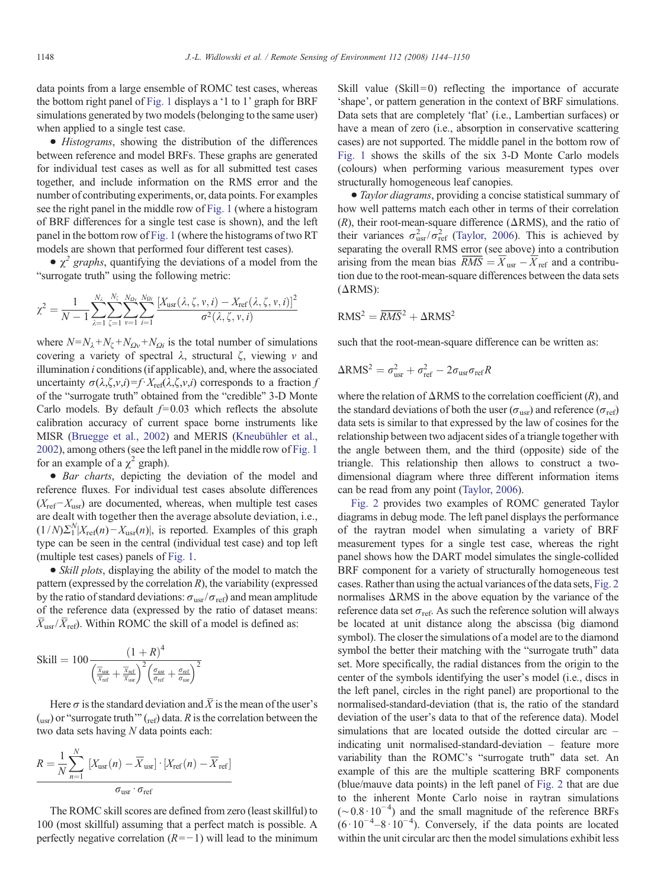data points from a large ensemble of ROMC test cases, whereas the bottom right panel of [Fig. 1](#page-2-0) displays a '1 to 1' graph for BRF simulations generated by two models (belonging to the same user) when applied to a single test case.

• *Histograms*, showing the distribution of the differences between reference and model BRFs. These graphs are generated for individual test cases as well as for all submitted test cases together, and include information on the RMS error and the number of contributing experiments, or, data points. For examples see the right panel in the middle row of [Fig. 1](#page-2-0) (where a histogram of BRF differences for a single test case is shown), and the left panel in the bottom row of [Fig. 1](#page-2-0) (where the histograms of two RT models are shown that performed four different test cases).

•  $\chi^2$  graphs, quantifying the deviations of a model from the "surrogate truth" using the following metric:

$$
\chi^{2} = \frac{1}{N-1} \sum_{\lambda=1}^{N_{\lambda}} \sum_{\zeta=1}^{N_{\zeta}} \sum_{\nu=1}^{N_{Q\nu}} \sum_{i=1}^{N_{Qi}} \frac{\left[X_{\text{usr}}(\lambda, \zeta, \nu, i) - X_{\text{ref}}(\lambda, \zeta, \nu, i)\right]^{2}}{\sigma^{2}(\lambda, \zeta, \nu, i)}
$$

where  $N=N_{\lambda}+N_{\zeta}+N_{\Omega_{V}}+N_{\Omega_{i}}$  is the total number of simulations covering a variety of spectral  $λ$ , structural  $ζ$ , viewing  $ν$  and illumination i conditions (if applicable), and, where the associated uncertainty  $\sigma(\lambda,\zeta,\nu,i)=f\cdot X_{\text{ref}}(\lambda,\zeta,\nu,i)$  corresponds to a fraction f of the "surrogate truth" obtained from the "credible" 3-D Monte Carlo models. By default  $f=0.03$  which reflects the absolute calibration accuracy of current space borne instruments like MISR [\(Bruegge et al., 2002\)](#page-6-0) and MERIS ([Kneubühler et al.,](#page-6-0) [2002](#page-6-0)), among others (see the left panel in the middle row of [Fig. 1](#page-2-0) for an example of a  $\chi^2$  graph).

• *Bar charts*, depicting the deviation of the model and reference fluxes. For individual test cases absolute differences  $(X_{\text{ref}}-X_{\text{usr}})$  are documented, whereas, when multiple test cases are dealt with together then the average absolute deviation, i.e.,  $(1/N)\Sigma_1^N | X_{\text{ref}}(n) - X_{\text{usr}}(n) |$ , is reported. Examples of this graph type can be seen in the central (individual test case) and top left (multiple test cases) panels of [Fig. 1.](#page-2-0)

• *Skill plots*, displaying the ability of the model to match the pattern (expressed by the correlation  $R$ ), the variability (expressed by the ratio of standard deviations:  $\sigma_{\text{usr}}/\sigma_{\text{ref}}$ ) and mean amplitude of the reference data (expressed by the ratio of dataset means:  $\overline{X}_{\text{usr}}/\overline{X}_{\text{ref}}$ ). Within ROMC the skill of a model is defined as:

$$
\text{Skill} = 100 \frac{\left(1 + R\right)^4}{\left(\frac{\overline{x}_{\text{us}}}{\overline{x}_{\text{ref}}} + \frac{\overline{x}_{\text{ref}}}{\overline{x}_{\text{us}}}\right)^2 \left(\frac{\sigma_{\text{us}}}{\sigma_{\text{ref}}} + \frac{\sigma_{\text{ref}}}{\sigma_{\text{us}}}\right)^2}
$$

Here  $\sigma$  is the standard deviation and  $\bar{X}$  is the mean of the user's  $_{\text{(usr)}}$  or "surrogate truth"  $_{\text{(ref)}}$  data. R is the correlation between the two data sets having N data points each:

$$
R = \frac{1}{N} \sum_{n=1}^{N} \left[ X_{\text{usr}}(n) - \overline{X}_{\text{usr}} \right] \cdot \left[ X_{\text{ref}}(n) - \overline{X}_{\text{ref}} \right]
$$

$$
\sigma_{\text{usr}} \cdot \sigma_{\text{ref}}
$$

The ROMC skill scores are defined from zero (least skillful) to 100 (most skillful) assuming that a perfect match is possible. A perfectly negative correlation  $(R=-1)$  will lead to the minimum Skill value (Skill= $0$ ) reflecting the importance of accurate 'shape', or pattern generation in the context of BRF simulations. Data sets that are completely 'flat' (i.e., Lambertian surfaces) or have a mean of zero (i.e., absorption in conservative scattering cases) are not supported. The middle panel in the bottom row of [Fig. 1](#page-2-0) shows the skills of the six 3-D Monte Carlo models (colours) when performing various measurement types over structurally homogeneous leaf canopies.

• *Taylor diagrams*, providing a concise statistical summary of how well patterns match each other in terms of their correlation  $(R)$ , their root-mean-square difference ( $\Delta$ RMS), and the ratio of their variances  $\sigma_{\text{usr}}^2/\sigma_{\text{ref}}^2$  [\(Taylor, 2006](#page-6-0)). This is achieved by separating the overall RMS error (see above) into a contribution arising from the mean bias  $\overline{RMS} = \overline{X}_{\text{usr}} - \overline{X}_{\text{ref}}$  and a contribu- $\frac{\overline{X}_{\text{usr}} - \overline{X}_{\text{ref}}}$  and a contribution due to the root-mean-square differences between the data sets  $(ARMS)$ :

$$
RMS2 = \overline{RMS}2 + \Delta RMS2
$$

such that the root-mean-square difference can be written as:

$$
\Delta \text{RMS}^2 = \sigma_{\text{usr}}^2 + \sigma_{\text{ref}}^2 - 2\sigma_{\text{usr}}\sigma_{\text{ref}}R
$$

where the relation of  $\Delta$ RMS to the correlation coefficient (R), and the standard deviations of both the user ( $\sigma_{\text{usr}}$ ) and reference ( $\sigma_{\text{ref}}$ ) data sets is similar to that expressed by the law of cosines for the relationship between two adjacent sides of a triangle together with the angle between them, and the third (opposite) side of the triangle. This relationship then allows to construct a twodimensional diagram where three different information items can be read from any point [\(Taylor, 2006\)](#page-6-0).

[Fig. 2](#page-5-0) provides two examples of ROMC generated Taylor diagrams in debug mode. The left panel displays the performance of the raytran model when simulating a variety of BRF measurement types for a single test case, whereas the right panel shows how the DART model simulates the single-collided BRF component for a variety of structurally homogeneous test cases. Rather than using the actual variances of the data sets, [Fig. 2](#page-5-0) normalises  $\Delta$ RMS in the above equation by the variance of the reference data set  $\sigma_{\text{ref}}$ . As such the reference solution will always be located at unit distance along the abscissa (big diamond symbol). The closer the simulations of a model are to the diamond symbol the better their matching with the "surrogate truth" data set. More specifically, the radial distances from the origin to the center of the symbols identifying the user's model (i.e., discs in the left panel, circles in the right panel) are proportional to the normalised-standard-deviation (that is, the ratio of the standard deviation of the user's data to that of the reference data). Model simulations that are located outside the dotted circular arc – indicating unit normalised-standard-deviation – feature more variability than the ROMC's "surrogate truth" data set. An example of this are the multiple scattering BRF components (blue/mauve data points) in the left panel of [Fig. 2](#page-5-0) that are due to the inherent Monte Carlo noise in raytran simulations (∼0.8· 10−<sup>4</sup> ) and the small magnitude of the reference BRFs  $(6.10^{-4} - 8.10^{-4})$ . Conversely, if the data points are located within the unit circular arc then the model simulations exhibit less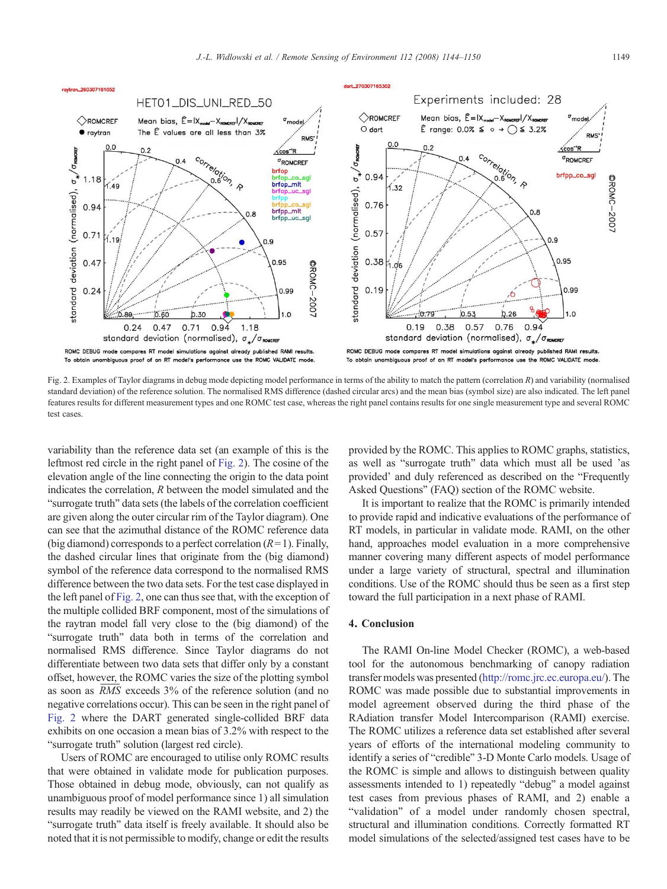<span id="page-5-0"></span>

Fig. 2. Examples of Taylor diagrams in debug mode depicting model performance in terms of the ability to match the pattern (correlation R) and variability (normalised standard deviation) of the reference solution. The normalised RMS difference (dashed circular arcs) and the mean bias (symbol size) are also indicated. The left panel features results for different measurement types and one ROMC test case, whereas the right panel contains results for one single measurement type and several ROMC test cases.

variability than the reference data set (an example of this is the leftmost red circle in the right panel of Fig. 2). The cosine of the elevation angle of the line connecting the origin to the data point indicates the correlation, R between the model simulated and the "surrogate truth" data sets (the labels of the correlation coefficient are given along the outer circular rim of the Taylor diagram). One can see that the azimuthal distance of the ROMC reference data (big diamond) corresponds to a perfect correlation  $(R=1)$ . Finally, the dashed circular lines that originate from the (big diamond) symbol of the reference data correspond to the normalised RMS difference between the two data sets. For the test case displayed in the left panel of Fig. 2, one can thus see that, with the exception of the multiple collided BRF component, most of the simulations of the raytran model fall very close to the (big diamond) of the "surrogate truth" data both in terms of the correlation and normalised RMS difference. Since Taylor diagrams do not differentiate between two data sets that differ only by a constant offset, however, the ROMC varies the size of the plotting symbol as soon as  $\overline{RMS}$  exceeds 3% of the reference solution (and no<br>as soon as  $\overline{RMS}$  exceeds 3% of the reference solution (and no negative correlations occur). This can be seen in the right panel of Fig. 2 where the DART generated single-collided BRF data exhibits on one occasion a mean bias of 3.2% with respect to the "surrogate truth" solution (largest red circle).

Users of ROMC are encouraged to utilise only ROMC results that were obtained in validate mode for publication purposes. Those obtained in debug mode, obviously, can not qualify as unambiguous proof of model performance since 1) all simulation results may readily be viewed on the RAMI website, and 2) the "surrogate truth" data itself is freely available. It should also be noted that it is not permissible to modify, change or edit the results provided by the ROMC. This applies to ROMC graphs, statistics, as well as "surrogate truth" data which must all be used 'as provided' and duly referenced as described on the "Frequently Asked Questions" (FAQ) section of the ROMC website.

It is important to realize that the ROMC is primarily intended to provide rapid and indicative evaluations of the performance of RT models, in particular in validate mode. RAMI, on the other hand, approaches model evaluation in a more comprehensive manner covering many different aspects of model performance under a large variety of structural, spectral and illumination conditions. Use of the ROMC should thus be seen as a first step toward the full participation in a next phase of RAMI.

### 4. Conclusion

The RAMI On-line Model Checker (ROMC), a web-based tool for the autonomous benchmarking of canopy radiation transfer models was presented [\(http://romc.jrc.ec.europa.eu/](http://romc.jrc.ec.europa.eu/)). The ROMC was made possible due to substantial improvements in model agreement observed during the third phase of the RAdiation transfer Model Intercomparison (RAMI) exercise. The ROMC utilizes a reference data set established after several years of efforts of the international modeling community to identify a series of "credible" 3-D Monte Carlo models. Usage of the ROMC is simple and allows to distinguish between quality assessments intended to 1) repeatedly "debug" a model against test cases from previous phases of RAMI, and 2) enable a "validation" of a model under randomly chosen spectral, structural and illumination conditions. Correctly formatted RT model simulations of the selected/assigned test cases have to be